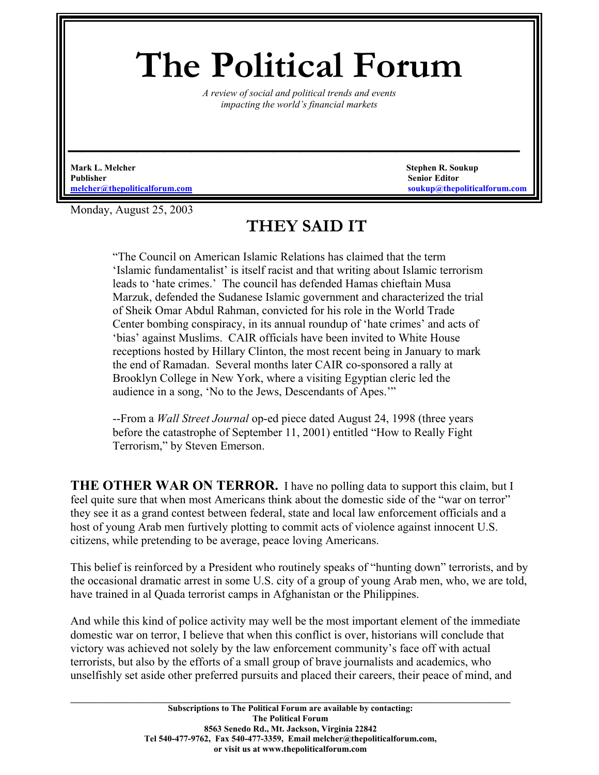## **The Political Forum**

*A review of social and political trends and events impacting the world's financial markets* 

*\_\_\_\_\_\_\_\_\_\_\_\_\_\_\_\_\_\_\_\_\_\_\_\_\_\_\_\_\_\_\_\_\_* 

**Mark L. Melcher** Stephen R. Soukup **Stephen R. Soukup 3. Stephen R. Soukup** 3. Stephen R. Soukup 3. Stephen R. Soukup **Publisher Senior Editor**

**[melcher@thepoliticalforum.com](mailto:melcher@thepoliticalforum.com) soukup@thepoliticalforum.com**

Monday, August 25, 2003

## **THEY SAID IT**

"The Council on American Islamic Relations has claimed that the term 'Islamic fundamentalist' is itself racist and that writing about Islamic terrorism leads to 'hate crimes.' The council has defended Hamas chieftain Musa Marzuk, defended the Sudanese Islamic government and characterized the trial of Sheik Omar Abdul Rahman, convicted for his role in the World Trade Center bombing conspiracy, in its annual roundup of 'hate crimes' and acts of 'bias' against Muslims. CAIR officials have been invited to White House receptions hosted by Hillary Clinton, the most recent being in January to mark the end of Ramadan. Several months later CAIR co-sponsored a rally at Brooklyn College in New York, where a visiting Egyptian cleric led the audience in a song, 'No to the Jews, Descendants of Apes.'"

--From a *Wall Street Journal* op-ed piece dated August 24, 1998 (three years before the catastrophe of September 11, 2001) entitled "How to Really Fight Terrorism," by Steven Emerson.

**THE OTHER WAR ON TERROR.** I have no polling data to support this claim, but I feel quite sure that when most Americans think about the domestic side of the "war on terror" they see it as a grand contest between federal, state and local law enforcement officials and a host of young Arab men furtively plotting to commit acts of violence against innocent U.S. citizens, while pretending to be average, peace loving Americans.

This belief is reinforced by a President who routinely speaks of "hunting down" terrorists, and by the occasional dramatic arrest in some U.S. city of a group of young Arab men, who, we are told, have trained in al Quada terrorist camps in Afghanistan or the Philippines.

And while this kind of police activity may well be the most important element of the immediate domestic war on terror, I believe that when this conflict is over, historians will conclude that victory was achieved not solely by the law enforcement community's face off with actual terrorists, but also by the efforts of a small group of brave journalists and academics, who unselfishly set aside other preferred pursuits and placed their careers, their peace of mind, and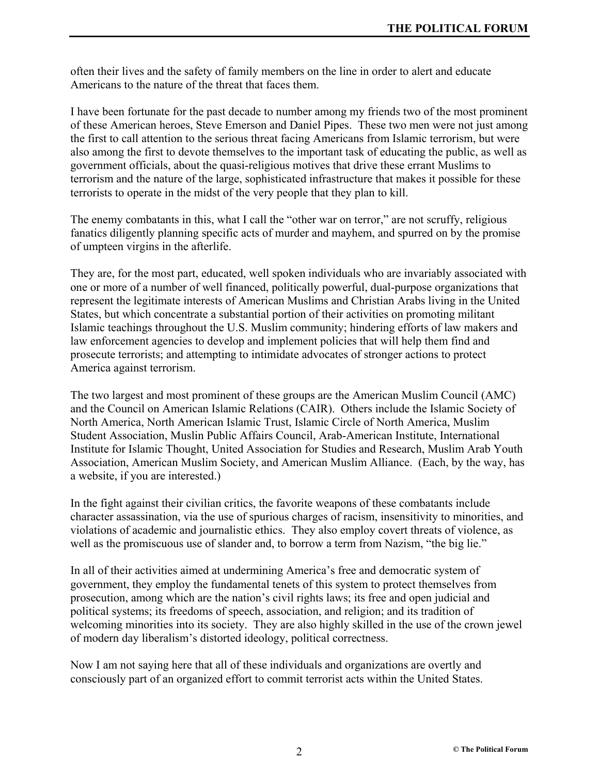often their lives and the safety of family members on the line in order to alert and educate Americans to the nature of the threat that faces them.

I have been fortunate for the past decade to number among my friends two of the most prominent of these American heroes, Steve Emerson and Daniel Pipes. These two men were not just among the first to call attention to the serious threat facing Americans from Islamic terrorism, but were also among the first to devote themselves to the important task of educating the public, as well as government officials, about the quasi-religious motives that drive these errant Muslims to terrorism and the nature of the large, sophisticated infrastructure that makes it possible for these terrorists to operate in the midst of the very people that they plan to kill.

The enemy combatants in this, what I call the "other war on terror," are not scruffy, religious fanatics diligently planning specific acts of murder and mayhem, and spurred on by the promise of umpteen virgins in the afterlife.

They are, for the most part, educated, well spoken individuals who are invariably associated with one or more of a number of well financed, politically powerful, dual-purpose organizations that represent the legitimate interests of American Muslims and Christian Arabs living in the United States, but which concentrate a substantial portion of their activities on promoting militant Islamic teachings throughout the U.S. Muslim community; hindering efforts of law makers and law enforcement agencies to develop and implement policies that will help them find and prosecute terrorists; and attempting to intimidate advocates of stronger actions to protect America against terrorism.

The two largest and most prominent of these groups are the American Muslim Council (AMC) and the Council on American Islamic Relations (CAIR). Others include the Islamic Society of North America, North American Islamic Trust, Islamic Circle of North America, Muslim Student Association, Muslin Public Affairs Council, Arab-American Institute, International Institute for Islamic Thought, United Association for Studies and Research, Muslim Arab Youth Association, American Muslim Society, and American Muslim Alliance. (Each, by the way, has a website, if you are interested.)

In the fight against their civilian critics, the favorite weapons of these combatants include character assassination, via the use of spurious charges of racism, insensitivity to minorities, and violations of academic and journalistic ethics. They also employ covert threats of violence, as well as the promiscuous use of slander and, to borrow a term from Nazism, "the big lie."

In all of their activities aimed at undermining America's free and democratic system of government, they employ the fundamental tenets of this system to protect themselves from prosecution, among which are the nation's civil rights laws; its free and open judicial and political systems; its freedoms of speech, association, and religion; and its tradition of welcoming minorities into its society. They are also highly skilled in the use of the crown jewel of modern day liberalism's distorted ideology, political correctness.

Now I am not saying here that all of these individuals and organizations are overtly and consciously part of an organized effort to commit terrorist acts within the United States.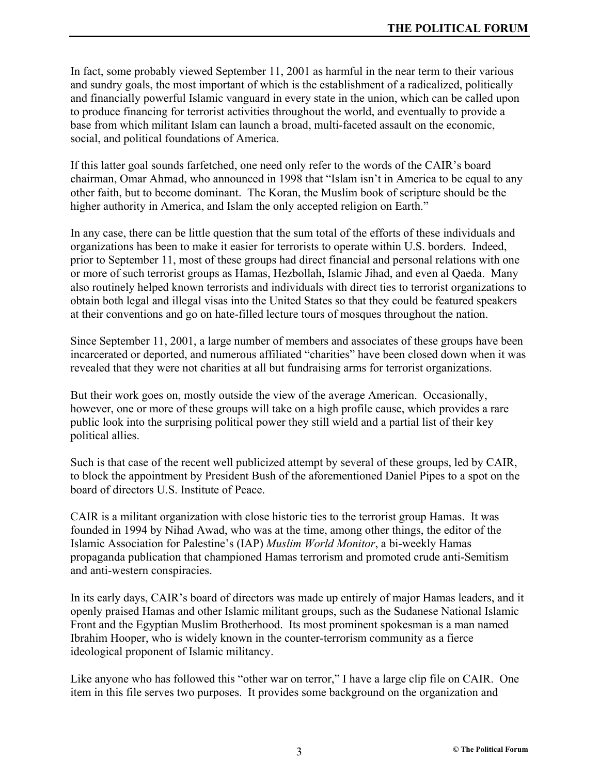In fact, some probably viewed September 11, 2001 as harmful in the near term to their various and sundry goals, the most important of which is the establishment of a radicalized, politically and financially powerful Islamic vanguard in every state in the union, which can be called upon to produce financing for terrorist activities throughout the world, and eventually to provide a base from which militant Islam can launch a broad, multi-faceted assault on the economic, social, and political foundations of America.

If this latter goal sounds farfetched, one need only refer to the words of the CAIR's board chairman, Omar Ahmad, who announced in 1998 that "Islam isn't in America to be equal to any other faith, but to become dominant. The Koran, the Muslim book of scripture should be the higher authority in America, and Islam the only accepted religion on Earth."

In any case, there can be little question that the sum total of the efforts of these individuals and organizations has been to make it easier for terrorists to operate within U.S. borders. Indeed, prior to September 11, most of these groups had direct financial and personal relations with one or more of such terrorist groups as Hamas, Hezbollah, Islamic Jihad, and even al Qaeda. Many also routinely helped known terrorists and individuals with direct ties to terrorist organizations to obtain both legal and illegal visas into the United States so that they could be featured speakers at their conventions and go on hate-filled lecture tours of mosques throughout the nation.

Since September 11, 2001, a large number of members and associates of these groups have been incarcerated or deported, and numerous affiliated "charities" have been closed down when it was revealed that they were not charities at all but fundraising arms for terrorist organizations.

But their work goes on, mostly outside the view of the average American. Occasionally, however, one or more of these groups will take on a high profile cause, which provides a rare public look into the surprising political power they still wield and a partial list of their key political allies.

Such is that case of the recent well publicized attempt by several of these groups, led by CAIR, to block the appointment by President Bush of the aforementioned Daniel Pipes to a spot on the board of directors U.S. Institute of Peace.

CAIR is a militant organization with close historic ties to the terrorist group Hamas. It was founded in 1994 by Nihad Awad, who was at the time, among other things, the editor of the Islamic Association for Palestine's (IAP) *Muslim World Monitor*, a bi-weekly Hamas propaganda publication that championed Hamas terrorism and promoted crude anti-Semitism and anti-western conspiracies.

In its early days, CAIR's board of directors was made up entirely of major Hamas leaders, and it openly praised Hamas and other Islamic militant groups, such as the Sudanese National Islamic Front and the Egyptian Muslim Brotherhood. Its most prominent spokesman is a man named Ibrahim Hooper, who is widely known in the counter-terrorism community as a fierce ideological proponent of Islamic militancy.

Like anyone who has followed this "other war on terror," I have a large clip file on CAIR. One item in this file serves two purposes. It provides some background on the organization and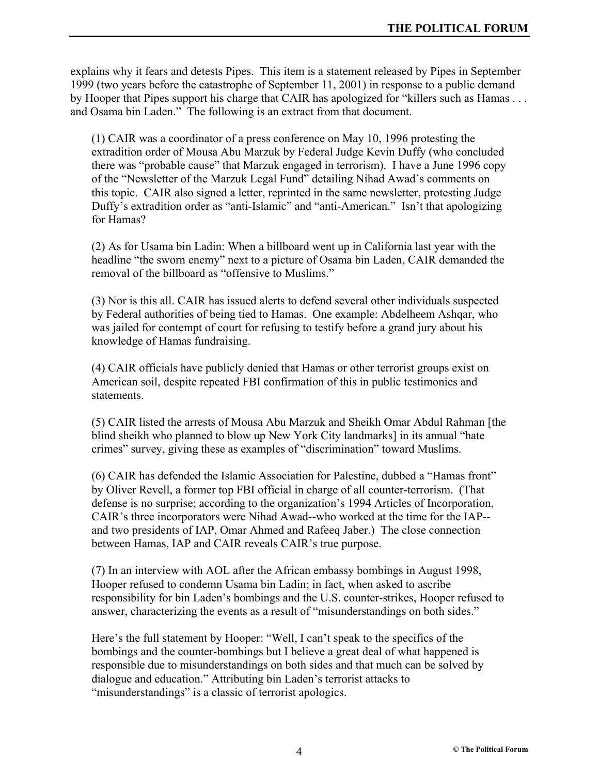explains why it fears and detests Pipes. This item is a statement released by Pipes in September 1999 (two years before the catastrophe of September 11, 2001) in response to a public demand by Hooper that Pipes support his charge that CAIR has apologized for "killers such as Hamas . . . and Osama bin Laden." The following is an extract from that document.

(1) CAIR was a coordinator of a press conference on May 10, 1996 protesting the extradition order of Mousa Abu Marzuk by Federal Judge Kevin Duffy (who concluded there was "probable cause" that Marzuk engaged in terrorism). I have a June 1996 copy of the "Newsletter of the Marzuk Legal Fund" detailing Nihad Awad's comments on this topic. CAIR also signed a letter, reprinted in the same newsletter, protesting Judge Duffy's extradition order as "anti-Islamic" and "anti-American." Isn't that apologizing for Hamas?

(2) As for Usama bin Ladin: When a billboard went up in California last year with the headline "the sworn enemy" next to a picture of Osama bin Laden, CAIR demanded the removal of the billboard as "offensive to Muslims."

(3) Nor is this all. CAIR has issued alerts to defend several other individuals suspected by Federal authorities of being tied to Hamas. One example: Abdelheem Ashqar, who was jailed for contempt of court for refusing to testify before a grand jury about his knowledge of Hamas fundraising.

(4) CAIR officials have publicly denied that Hamas or other terrorist groups exist on American soil, despite repeated FBI confirmation of this in public testimonies and statements.

(5) CAIR listed the arrests of Mousa Abu Marzuk and Sheikh Omar Abdul Rahman [the blind sheikh who planned to blow up New York City landmarks] in its annual "hate crimes" survey, giving these as examples of "discrimination" toward Muslims.

(6) CAIR has defended the Islamic Association for Palestine, dubbed a "Hamas front" by Oliver Revell, a former top FBI official in charge of all counter-terrorism. (That defense is no surprise; according to the organization's 1994 Articles of Incorporation, CAIR's three incorporators were Nihad Awad--who worked at the time for the IAP- and two presidents of IAP, Omar Ahmed and Rafeeq Jaber.) The close connection between Hamas, IAP and CAIR reveals CAIR's true purpose.

(7) In an interview with AOL after the African embassy bombings in August 1998, Hooper refused to condemn Usama bin Ladin; in fact, when asked to ascribe responsibility for bin Laden's bombings and the U.S. counter-strikes, Hooper refused to answer, characterizing the events as a result of "misunderstandings on both sides."

Here's the full statement by Hooper: "Well, I can't speak to the specifics of the bombings and the counter-bombings but I believe a great deal of what happened is responsible due to misunderstandings on both sides and that much can be solved by dialogue and education." Attributing bin Laden's terrorist attacks to "misunderstandings" is a classic of terrorist apologics.